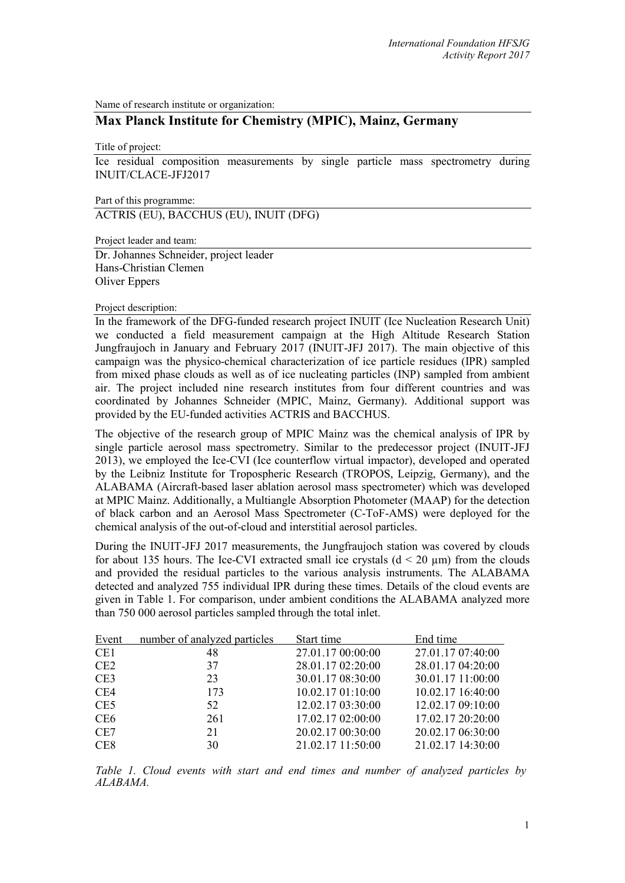Name of research institute or organization:

## **Max Planck Institute for Chemistry (MPIC), Mainz, Germany**

Title of project:

Ice residual composition measurements by single particle mass spectrometry during INUIT/CLACE-JFJ2017

Part of this programme:

ACTRIS (EU), BACCHUS (EU), INUIT (DFG)

Project leader and team:

Dr. Johannes Schneider, project leader Hans-Christian Clemen Oliver Eppers

## Project description:

In the framework of the DFG-funded research project INUIT (Ice Nucleation Research Unit) we conducted a field measurement campaign at the High Altitude Research Station Jungfraujoch in January and February 2017 (INUIT-JFJ 2017). The main objective of this campaign was the physico-chemical characterization of ice particle residues (IPR) sampled from mixed phase clouds as well as of ice nucleating particles (INP) sampled from ambient air. The project included nine research institutes from four different countries and was coordinated by Johannes Schneider (MPIC, Mainz, Germany). Additional support was provided by the EU-funded activities ACTRIS and BACCHUS.

The objective of the research group of MPIC Mainz was the chemical analysis of IPR by single particle aerosol mass spectrometry. Similar to the predecessor project (INUIT-JFJ 2013), we employed the Ice-CVI (Ice counterflow virtual impactor), developed and operated by the Leibniz Institute for Tropospheric Research (TROPOS, Leipzig, Germany), and the ALABAMA (Aircraft-based laser ablation aerosol mass spectrometer) which was developed at MPIC Mainz. Additionally, a Multiangle Absorption Photometer (MAAP) for the detection of black carbon and an Aerosol Mass Spectrometer (C-ToF-AMS) were deployed for the chemical analysis of the out-of-cloud and interstitial aerosol particles.

During the INUIT-JFJ 2017 measurements, the Jungfraujoch station was covered by clouds for about 135 hours. The Ice-CVI extracted small ice crystals  $(d < 20 \mu m)$  from the clouds and provided the residual particles to the various analysis instruments. The ALABAMA detected and analyzed 755 individual IPR during these times. Details of the cloud events are given in Table 1. For comparison, under ambient conditions the ALABAMA analyzed more than 750 000 aerosol particles sampled through the total inlet.

| Event           | number of analyzed particles | Start time        | End time          |
|-----------------|------------------------------|-------------------|-------------------|
| CE <sub>1</sub> | 48                           | 27.01.17 00:00:00 | 27.01.17 07:40:00 |
| CE2             | 37                           | 28.01.17 02:20:00 | 28.01.17 04:20:00 |
| CE <sub>3</sub> | 23                           | 30.01.17 08:30:00 | 30.01.17 11:00:00 |
| CE4             | 173                          | 10.02.17 01:10:00 | 10.02.17 16:40:00 |
| CE <sub>5</sub> | 52                           | 12.02.17 03:30:00 | 12.02.17 09:10:00 |
| CE <sub>6</sub> | 261                          | 17.02.17 02:00:00 | 17.02.17 20:20:00 |
| CE7             | 21                           | 20.02.17 00:30:00 | 20.02.17 06:30:00 |
| CE <sub>8</sub> | 30                           | 21.02.17 11:50:00 | 21.02.17 14:30:00 |

*Table 1. Cloud events with start and end times and number of analyzed particles by ALABAMA.*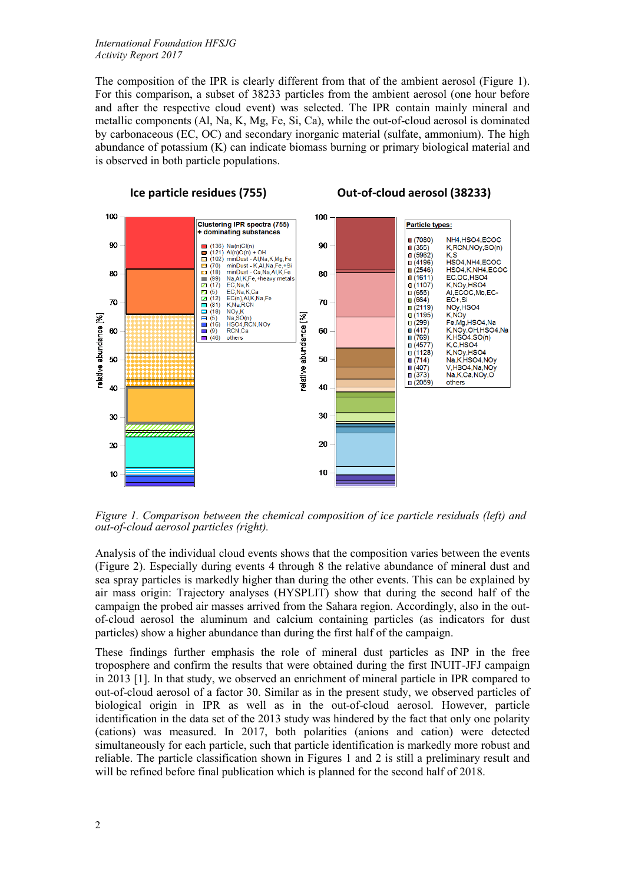## *International Foundation HFSJG Activity Report 2017*

The composition of the IPR is clearly different from that of the ambient aerosol (Figure 1). For this comparison, a subset of 38233 particles from the ambient aerosol (one hour before and after the respective cloud event) was selected. The IPR contain mainly mineral and metallic components (Al, Na, K, Mg, Fe, Si, Ca), while the out-of-cloud aerosol is dominated by carbonaceous (EC, OC) and secondary inorganic material (sulfate, ammonium). The high abundance of potassium (K) can indicate biomass burning or primary biological material and is observed in both particle populations.



*Figure 1. Comparison between the chemical composition of ice particle residuals (left) and out-of-cloud aerosol particles (right).*

Analysis of the individual cloud events shows that the composition varies between the events (Figure 2). Especially during events 4 through 8 the relative abundance of mineral dust and sea spray particles is markedly higher than during the other events. This can be explained by air mass origin: Trajectory analyses (HYSPLIT) show that during the second half of the campaign the probed air masses arrived from the Sahara region. Accordingly, also in the outof-cloud aerosol the aluminum and calcium containing particles (as indicators for dust particles) show a higher abundance than during the first half of the campaign.

These findings further emphasis the role of mineral dust particles as INP in the free troposphere and confirm the results that were obtained during the first INUIT-JFJ campaign in 2013 [1]. In that study, we observed an enrichment of mineral particle in IPR compared to out-of-cloud aerosol of a factor 30. Similar as in the present study, we observed particles of biological origin in IPR as well as in the out-of-cloud aerosol. However, particle identification in the data set of the 2013 study was hindered by the fact that only one polarity (cations) was measured. In 2017, both polarities (anions and cation) were detected simultaneously for each particle, such that particle identification is markedly more robust and reliable. The particle classification shown in Figures 1 and 2 is still a preliminary result and will be refined before final publication which is planned for the second half of 2018.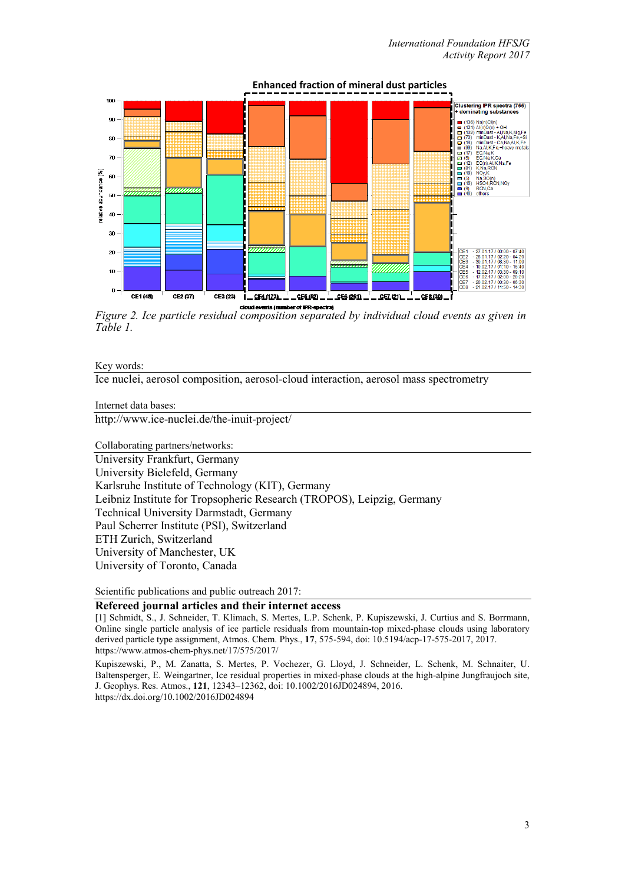

*Figure 2. Ice particle residual composition separated by individual cloud events as given in Table 1.*

Key words:

Ice nuclei, aerosol composition, aerosol-cloud interaction, aerosol mass spectrometry

Internet data bases:

http://www.ice-nuclei.de/the-inuit-project/

Collaborating partners/networks:

University Frankfurt, Germany University Bielefeld, Germany Karlsruhe Institute of Technology (KIT), Germany Leibniz Institute for Tropsopheric Research (TROPOS), Leipzig, Germany Technical University Darmstadt, Germany Paul Scherrer Institute (PSI), Switzerland ETH Zurich, Switzerland University of Manchester, UK University of Toronto, Canada

Scientific publications and public outreach 2017:

## **Refereed journal articles and their internet access**

[1] Schmidt, S., J. Schneider, T. Klimach, S. Mertes, L.P. Schenk, P. Kupiszewski, J. Curtius and S. Borrmann, Online single particle analysis of ice particle residuals from mountain-top mixed-phase clouds using laboratory derived particle type assignment, Atmos. Chem. Phys., **17**, 575-594, doi: 10.5194/acp-17-575-2017, 2017. https://www.atmos-chem-phys.net/17/575/2017/

Kupiszewski, P., M. Zanatta, S. Mertes, P. Vochezer, G. Lloyd, J. Schneider, L. Schenk, M. Schnaiter, U. Baltensperger, E. Weingartner, Ice residual properties in mixed-phase clouds at the high-alpine Jungfraujoch site, J. Geophys. Res. Atmos., **121**, 12343–12362, doi: 10.1002/2016JD024894, 2016. https://dx.doi.org/10.1002/2016JD024894